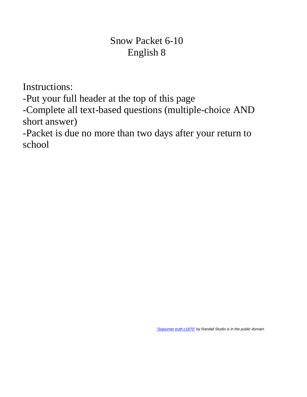# Snow Packet 6-10 English 8

Instructions:

-Put your full header at the top of this page

-Complete all text-based questions (multiple-choice AND short answer)

-Packet is due no more than two days after your return to school

*"Sojourner truth c1870" by Randall Studio is in the public domain.*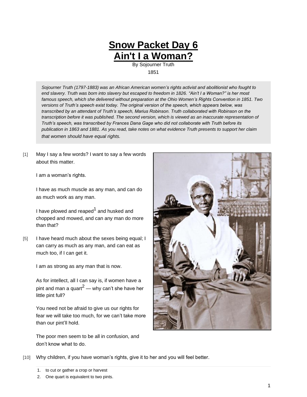

1851

*Sojourner Truth (1797-1883) was an African American women's rights activist and abolitionist who fought to end slavery. Truth was born into slavery but escaped to freedom in 1826. "Ain't I a Woman?" is her most famous speech, which she delivered without preparation at the Ohio Women's Rights Convention in 1851. Two versions of Truth's speech exist today. The original version of the speech, which appears below, was transcribed by an attendant of Truth's speech, Marius Robinson. Truth collaborated with Robinson on the transcription before it was published. The second version, which is viewed as an inaccurate representation of Truth's speech, was transcribed by Frances Dana Gage who did not collaborate with Truth before its publication in 1863 and 1881. As you read, take notes on what evidence Truth presents to support her claim that women should have equal rights.*

[1] May I say a few words? I want to say a few words about this matter.

I am a woman's rights.

I have as much muscle as any man, and can do as much work as any man.

I have plowed and reaped<sup>1</sup> and husked and chopped and mowed, and can any man do more than that?

[5] I have heard much about the sexes being equal; I can carry as much as any man, and can eat as much too, if I can get it.

I am as strong as any man that is now.

As for intellect, all I can say is, if women have a pint and man a quart<sup>2</sup> — why can't she have her little pint full?

You need not be afraid to give us our rights for fear we will take too much, for we can't take more than our pint'll hold.

The poor men seem to be all in confusion, and don't know what to do.



- [10] Why children, if you have woman's rights, give it to her and you will feel better.
	- 1. to cut or gather a crop or harvest
	- 2. One quart is equivalent to two pints.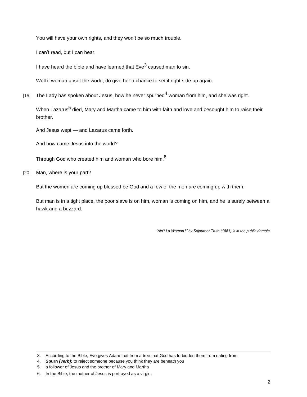You will have your own rights, and they won't be so much trouble.

I can't read, but I can hear.

I have heard the bible and have learned that Eve $^3$  caused man to sin.

Well if woman upset the world, do give her a chance to set it right side up again.

[15] The Lady has spoken about Jesus, how he never spurned<sup>4</sup> woman from him, and she was right.

When Lazarus<sup>5</sup> died, Mary and Martha came to him with faith and love and besought him to raise their brother.

And Jesus wept — and Lazarus came forth.

And how came Jesus into the world?

Through God who created him and woman who bore him.<sup>6</sup>

[20] Man, where is your part?

But the women are coming up blessed be God and a few of the men are coming up with them.

But man is in a tight place, the poor slave is on him, woman is coming on him, and he is surely between a hawk and a buzzard.

*"Ain't I a Woman?" by Sojourner Truth (1851) is in the public domain.*

<sup>3.</sup> According to the Bible, Eve gives Adam fruit from a tree that God has forbidden them from eating from.

<sup>4.</sup> **Spurn** *(verb):* to reject someone because you think they are beneath you

<sup>5.</sup> a follower of Jesus and the brother of Mary and Martha

<sup>6.</sup> In the Bible, the mother of Jesus is portrayed as a virgin.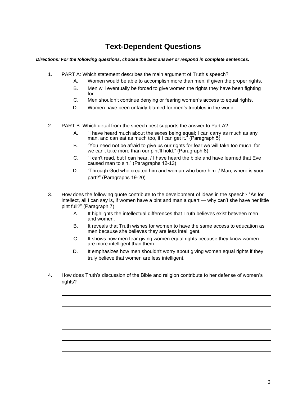- 1. PART A: Which statement describes the main argument of Truth's speech?
	- A. Women would be able to accomplish more than men, if given the proper rights.
	- B. Men will eventually be forced to give women the rights they have been fighting for.
	- C. Men shouldn't continue denying or fearing women's access to equal rights.
	- D. Women have been unfairly blamed for men's troubles in the world.
- 2. PART B: Which detail from the speech best supports the answer to Part A?
	- A. "I have heard much about the sexes being equal; I can carry as much as any man, and can eat as much too, if I can get it." (Paragraph  $5$ )
	- B. "You need not be afraid to give us our rights for fear we will take too much, for we can't take more than our pint'll hold." (Paragraph 8)
	- C. "I can't read, but I can hear. / I have heard the bible and have learned that Eve caused man to sin." (Paragraphs 12-13)
	- D. "Through God who created him and woman who bore him. / Man, where is your part?" (Paragraphs 19-20)
- 3. How does the following quote contribute to the development of ideas in the speech? "As for intellect, all I can say is, if women have a pint and man a quart — why can't she have her little pint full?" (Paragraph 7)
	- A. It highlights the intellectual differences that Truth believes exist between men and women.
	- B. It reveals that Truth wishes for women to have the same access to education as men because she believes they are less intelligent.
	- C. It shows how men fear giving women equal rights because they know women are more intelligent than them.
	- D. It emphasizes how men shouldn't worry about giving women equal rights if they truly believe that women are less intelligent.
- 4. How does Truth's discussion of the Bible and religion contribute to her defense of women's rights?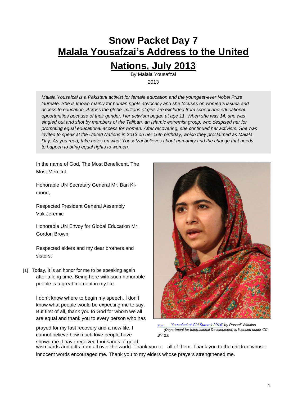## **Snow Packet Day 7 Malala Yousafzai's Address to the United**

## **Nations, July 2013**

By Malala Yousafzai

2013

*Malala Yousafzai is a Pakistani activist for female education and the youngest-ever Nobel Prize laureate. She is known mainly for human rights advocacy and she focuses on women's issues and access to education. Across the globe, millions of girls are excluded from school and educational opportunities because of their gender. Her activism began at age 11. When she was 14, she was singled out and shot by members of the Taliban, an Islamic extremist group, who despised her for promoting equal educational access for women. After recovering, she continued her activism. She was invited to speak at the United Nations in 2013 on her 16th birthday, which they proclaimed as Malala Day. As you read, take notes on what Yousafzai believes about humanity and the change that needs to happen to bring equal rights to women.*

In the name of God, The Most Beneficent, The Most Merciful.

Honorable UN Secretary General Mr. Ban Kimoon,

Respected President General Assembly Vuk Jeremic

Honorable UN Envoy for Global Education Mr. Gordon Brown,

Respected elders and my dear brothers and sisters;

[1] Today, it is an honor for me to be speaking again after a long time. Being here with such honorable people is a great moment in my life.

> I don't know where to begin my speech. I don't know what people would be expecting me to say. But first of all, thank you to God for whom we all are equal and thank you to every person who has

cannot believe how much love people have *BY 2.0* shown me. I have received thousands of good



*"Malala Yousafzai at Girl Summit 2014" by Russell Watkins* prayed for my fast recovery and a new life. I *(Department for International Development) is licensed under CC*

wish cards and gifts from all over the world. Thank you to all of them. Thank you to the children whose innocent words encouraged me. Thank you to my elders whose prayers strengthened me.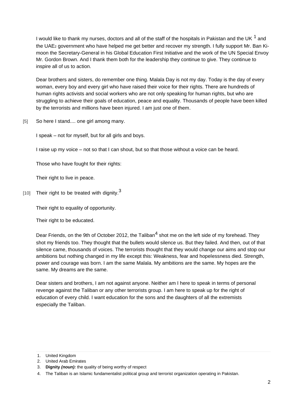I would like to thank my nurses, doctors and all of the staff of the hospitals in Pakistan and the UK  $^{\text{1}}$  and the UAE<sup>2</sup> government who have helped me get better and recover my strength. I fully support Mr. Ban Kimoon the Secretary-General in his Global Education First Initiative and the work of the UN Special Envoy Mr. Gordon Brown. And I thank them both for the leadership they continue to give. They continue to inspire all of us to action.

Dear brothers and sisters, do remember one thing. Malala Day is not my day. Today is the day of every woman, every boy and every girl who have raised their voice for their rights. There are hundreds of human rights activists and social workers who are not only speaking for human rights, but who are struggling to achieve their goals of education, peace and equality. Thousands of people have been killed by the terrorists and millions have been injured. I am just one of them.

[5] So here I stand.... one girl among many.

I speak – not for myself, but for all girls and boys.

I raise up my voice – not so that I can shout, but so that those without a voice can be heard.

Those who have fought for their rights:

Their right to live in peace.

[10] Their right to be treated with dignity.<sup>3</sup>

Their right to equality of opportunity.

Their right to be educated.

Dear Friends, on the 9th of October 2012, the Taliban<sup>4</sup> shot me on the left side of my forehead. They shot my friends too. They thought that the bullets would silence us. But they failed. And then, out of that silence came, thousands of voices. The terrorists thought that they would change our aims and stop our ambitions but nothing changed in my life except this: Weakness, fear and hopelessness died. Strength, power and courage was born. I am the same Malala. My ambitions are the same. My hopes are the same. My dreams are the same.

Dear sisters and brothers, I am not against anyone. Neither am I here to speak in terms of personal revenge against the Taliban or any other terrorists group. I am here to speak up for the right of education of every child. I want education for the sons and the daughters of all the extremists especially the Taliban.

<sup>1.</sup> United Kingdom

<sup>2.</sup> United Arab Emirates

<sup>3.</sup> **Dignity** *(noun):* the quality of being worthy of respect

<sup>4.</sup> The Taliban is an Islamic fundamentalist political group and terrorist organization operating in Pakistan.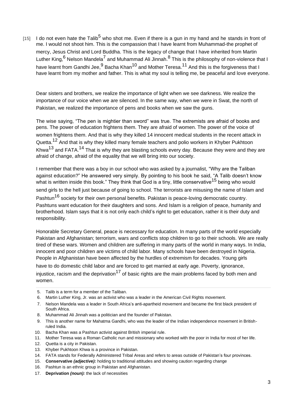[15] I do not even hate the Talib<sup>5</sup> who shot me. Even if there is a gun in my hand and he stands in front of me. I would not shoot him. This is the compassion that I have learnt from Muhammad-the prophet of mercy, Jesus Christ and Lord Buddha. This is the legacy of change that I have inherited from Martin Luther King,  $6$  Nelson Mandela<sup>7</sup> and Muhammad Ali Jinnah.<sup>8</sup> This is the philosophy of non-violence that I have learnt from Gandhi Jee.<sup>9</sup> Bacha Khan<sup>10</sup> and Mother Teresa.<sup>11</sup> And this is the forgiveness that I have learnt from my mother and father. This is what my soul is telling me, be peaceful and love everyone.

Dear sisters and brothers, we realize the importance of light when we see darkness. We realize the importance of our voice when we are silenced. In the same way, when we were in Swat, the north of Pakistan, we realized the importance of pens and books when we saw the guns.

The wise saying, "The pen is mightier than sword" was true. The extremists are afraid of books and pens. The power of education frightens them. They are afraid of women. The power of the voice of women frightens them. And that is why they killed 14 innocent medical students in the recent attack in Quetta.<sup>12</sup> And that is why they killed many female teachers and polio workers in Khyber Pukhtoon Khwa<sup>13</sup> and FATA.<sup>14</sup> That is why they are blasting schools every day. Because they were and they are afraid of change, afraid of the equality that we will bring into our society.

I remember that there was a boy in our school who was asked by a journalist, "Why are the Taliban against education?" He answered very simply. By pointing to his book he said, "A Talib doesn't know what is written inside this book." They think that God is a tiny, little conservative<sup>15</sup> being who would send girls to the hell just because of going to school. The terrorists are misusing the name of Islam and Pashtun<sup>16</sup> society for their own personal benefits. Pakistan is peace-loving democratic country. Pashtuns want education for their daughters and sons. And Islam is a religion of peace, humanity and brotherhood. Islam says that it is not only each child's right to get education, rather it is their duty and responsibility.

Honorable Secretary General, peace is necessary for education. In many parts of the world especially Pakistan and Afghanistan; terrorism, wars and conflicts stop children to go to their schools. We are really tired of these wars. Women and children are suffering in many parts of the world in many ways. In India, innocent and poor children are victims of child labor. Many schools have been destroyed in Nigeria. People in Afghanistan have been affected by the hurdles of extremism for decades. Young girls have to do domestic child labor and are forced to get married at early age. Poverty, ignorance, injustice, racism and the deprivation<sup>17</sup> of basic rights are the main problems faced by both men and women.

- 5. Talib is a term for a member of the Taliban.
- 6. Martin Luther King, Jr. was an activist who was a leader in the American Civil Rights movement.
- 7. Nelson Mandela was a leader in South Africa's anti-apartheid movement and became the first black president of South Africa.
- 8. Muhammad Ali Jinnah was a politician and the founder of Pakistan.
- 9. This is another name for Mahatma Gandhi, who was the leader of the Indian independence movement in Britishruled India.
- 10. Bacha Khan was a Pashtun activist against British imperial rule.
- 11. Mother Teresa was a Roman Catholic nun and missionary who worked with the poor in India for most of her life.
- 12. Quetta is a city in Pakistan.
- 13. Khyber Pukhtoon Khwa is a province in Pakistan.
- 14. FATA stands for Federally Administered Tribal Areas and refers to areas outside of Pakistan's four provinces.
- 15. **Conservative** *(adjective):* holding to traditional attitudes and showing caution regarding change
- 16. Pashtun is an ethnic group in Pakistan and Afghanistan.
- 17. **Deprivation** *(noun):* the lack of necessities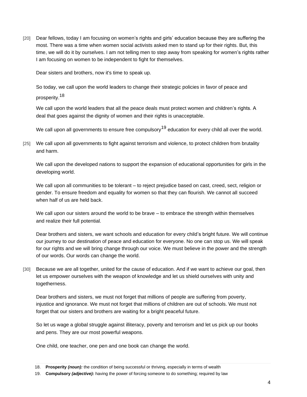[20] Dear fellows, today I am focusing on women's rights and girls' education because they are suffering the most. There was a time when women social activists asked men to stand up for their rights. But, this time, we will do it by ourselves. I am not telling men to step away from speaking for women's rights rather I am focusing on women to be independent to fight for themselves.

Dear sisters and brothers, now it's time to speak up.

So today, we call upon the world leaders to change their strategic policies in favor of peace and prosperity.<sup>18</sup>

We call upon the world leaders that all the peace deals must protect women and children's rights. A deal that goes against the dignity of women and their rights is unacceptable.

We call upon all governments to ensure free compulsory<sup>19</sup> education for every child all over the world.

[25] We call upon all governments to fight against terrorism and violence, to protect children from brutality and harm.

We call upon the developed nations to support the expansion of educational opportunities for girls in the developing world.

We call upon all communities to be tolerant – to reject prejudice based on cast, creed, sect, religion or gender. To ensure freedom and equality for women so that they can flourish. We cannot all succeed when half of us are held back.

We call upon our sisters around the world to be brave – to embrace the strength within themselves and realize their full potential.

Dear brothers and sisters, we want schools and education for every child's bright future. We will continue our journey to our destination of peace and education for everyone. No one can stop us. We will speak for our rights and we will bring change through our voice. We must believe in the power and the strength of our words. Our words can change the world.

[30] Because we are all together, united for the cause of education. And if we want to achieve our goal, then let us empower ourselves with the weapon of knowledge and let us shield ourselves with unity and togetherness.

Dear brothers and sisters, we must not forget that millions of people are suffering from poverty, injustice and ignorance. We must not forget that millions of children are out of schools. We must not forget that our sisters and brothers are waiting for a bright peaceful future.

So let us wage a global struggle against illiteracy, poverty and terrorism and let us pick up our books and pens. They are our most powerful weapons.

One child, one teacher, one pen and one book can change the world.

<sup>18.</sup> **Prosperity** *(noun):* the condition of being successful or thriving, especially in terms of wealth

<sup>19.</sup> **Compulsory** *(adjective):* having the power of forcing someone to do something; required by law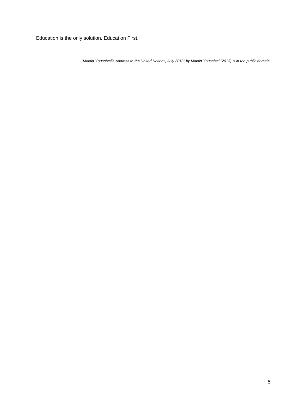Education is the only solution. Education First.

*"Malala Yousafzai's Address to the United Nations, July 2013" by Malala Yousafzai (2013) is in the public domain.*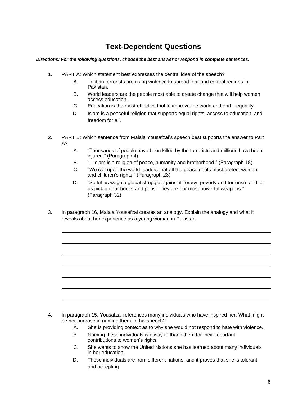- 1. PART A: Which statement best expresses the central idea of the speech?
	- A. Taliban terrorists are using violence to spread fear and control regions in Pakistan.
	- B. World leaders are the people most able to create change that will help women access education.
	- C. Education is the most effective tool to improve the world and end inequality.
	- D. Islam is a peaceful religion that supports equal rights, access to education, and freedom for all.
- 2. PART B: Which sentence from Malala Yousafzai's speech best supports the answer to Part A?
	- A. "Thousands of people have been killed by the terrorists and millions have been injured." (Paragraph 4)
	- B. "...Islam is a religion of peace, humanity and brotherhood." (Paragraph 18)
	- C. "We call upon the world leaders that all the peace deals must protect women and children's rights." (Paragraph 23)
	- D. "So let us wage a global struggle against illiteracy, poverty and terrorism and let us pick up our books and pens. They are our most powerful weapons." (Paragraph 32)
- 3. In paragraph 16, Malala Yousafzai creates an analogy. Explain the analogy and what it reveals about her experience as a young woman in Pakistan.

- 4. In paragraph 15, Yousafzai references many individuals who have inspired her. What might be her purpose in naming them in this speech?
	- A. She is providing context as to why she would not respond to hate with violence.
	- B. Naming these individuals is a way to thank them for their important contributions to women's rights.
	- C. She wants to show the United Nations she has learned about many individuals in her education.
	- D. These individuals are from different nations, and it proves that she is tolerant and accepting.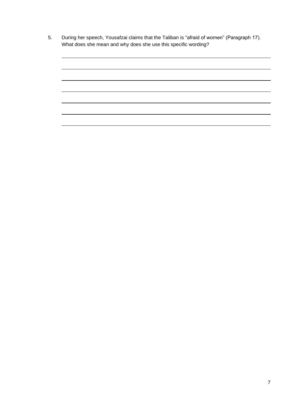5. During her speech, Yousafzai claims that the Taliban is "afraid of women" (Paragraph 17). What does she mean and why does she use this specific wording?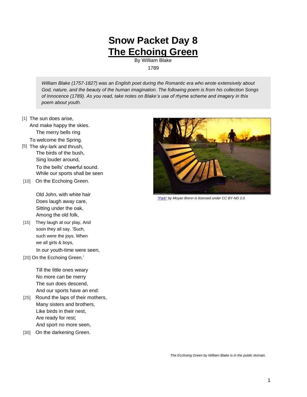## **Snow Packet Day 8 The Echoing Green**

By William Blake 1789

*William Blake (1757-1827) was an English poet during the Romantic era who wrote extensively about God, nature, and the beauty of the human imagination. The following poem is from his collection Songs of Innocence (1789). As you read, take notes on Blake's use of rhyme scheme and imagery in this poem about youth.*

- [1] The sun does arise, And make happy the skies. The merry bells ring
- To welcome the Spring. [5] The sky-lark and thrush,
- The birds of the bush, Sing louder around, To the bells' cheerful sound. While our sports shall be seen
- [10] On the Ecchoing Green.

Old John, with white hair Does laugh away care, Sitting under the oak, Among the old folk,

- [15] They laugh at our play, And soon they all say. 'Such, such were the joys. When we all girls & boys, In our youth-time were seen,
- [20] On the Ecchoing Green.'

Till the little ones weary No more can be merry The sun does descend, And our sports have an end:

- [25] Round the laps of their mothers, Many sisters and brothers, Like birds in their nest, Are ready for rest; And sport no more seen,
- [30] On the darkening Green.



*"Park" by Moyan Brenn is licensed under CC BY-ND 2.0.*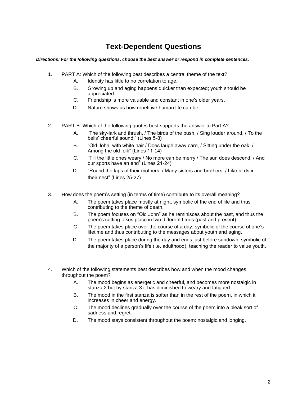- 1. PART A: Which of the following best describes a central theme of the text?
	- A. Identity has little to no correlation to age.
	- B. Growing up and aging happens quicker than expected; youth should be appreciated.
	- C. Friendship is more valuable and constant in one's older years.
	- D. Nature shows us how repetitive human life can be.
- 2. PART B: Which of the following quotes best supports the answer to Part A?
	- A. "The sky-lark and thrush, / The birds of the bush, / Sing louder around, / To the bells' cheerful sound." (Lines 5-8)
	- B. "Old John, with white hair / Does laugh away care, / Sitting under the oak, / Among the old folk" (Lines 11-14)
	- C. "Till the little ones weary / No more can be merry / The sun does descend, / And our sports have an end" (Lines 21-24)
	- D. "Round the laps of their mothers, / Many sisters and brothers, / Like birds in their nest" (Lines 25-27)
- 3. How does the poem's setting (in terms of time) contribute to its overall meaning?
	- A. The poem takes place mostly at night, symbolic of the end of life and thus contributing to the theme of death.
	- B. The poem focuses on "Old John" as he reminisces about the past, and thus the poem's setting takes place in two different times (past and present).
	- C. The poem takes place over the course of a day, symbolic of the course of one's lifetime and thus contributing to the messages about youth and aging.
	- D. The poem takes place during the day and ends just before sundown, symbolic of the majority of a person's life (i.e. adulthood), teaching the reader to value youth.
- 4. Which of the following statements best describes how and when the mood changes throughout the poem?
	- A. The mood begins as energetic and cheerful, and becomes more nostalgic in stanza 2 but by stanza 3 it has diminished to weary and fatigued.
	- B. The mood in the first stanza is softer than in the rest of the poem, in which it increases in cheer and energy.
	- C. The mood declines gradually over the course of the poem into a bleak sort of sadness and regret.
	- D. The mood stays consistent throughout the poem: nostalgic and longing.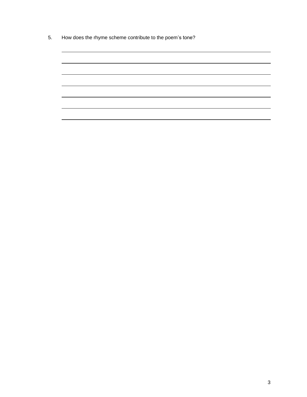5. How does the rhyme scheme contribute to the poem's tone?

,我们也不能在这里的时候,我们也不能在这里的时候,我们也不能会在这里的时候,我们也不能会在这里的时候,我们也不能会在这里的时候,我们也不能会在这里的时候,我们也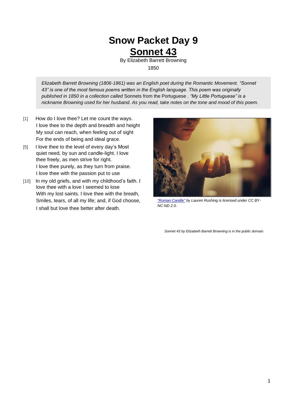## **Snow Packet Day 9 Sonnet 43**

By Elizabeth Barrett Browning

1850

*Elizabeth Barrett Browning (1806-1861) was an English poet during the Romantic Movement. "Sonnet 43" is one of the most famous poems written in the English language. This poem was originally published in 1850 in a collection called* Sonnets from the Portuguese *. "My Little Portuguese" is a nickname Browning used for her husband. As you read, take notes on the tone and mood of this poem.*

- [1] How do I love thee? Let me count the ways. I love thee to the depth and breadth and height My soul can reach, when feeling out of sight For the ends of being and ideal grace.
- [5] I love thee to the level of every day's Most quiet need, by sun and candle-light. I love thee freely, as men strive for right. I love thee purely, as they turn from praise. I love thee with the passion put to use
- [10] In my old griefs, and with my childhood's faith. I love thee with a love I seemed to lose With my lost saints. I love thee with the breath, Smiles, tears, of all my life; and, if God choose, I shall but love thee better after death.



*"Roman Candle" by Lauren Rushing is licensed under CC BY-NC-ND 2.0.*

*Sonnet 43 by Elizabeth Barrett Browning is in the public domain.*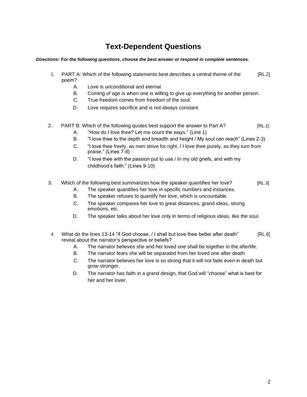- 1. PART A: Which of the following statements best describes a central theme of the [RL.2] poem?
	- A. Love is unconditional and eternal.
	- B. Coming of age is when one is willing to give up everything for another person.
	- C. True freedom comes from freedom of the soul.
	- D. Love requires sacrifice and is not always constant.
- 2. PART B: Which of the following quotes best support the answer to Part A? [RL.1]
	- A. "How do I love thee? Let me count the ways." (Line 1)
	- B. "I love thee to the depth and breadth and height / My soul can reach" (Lines 2-3)
	- C. "I love thee freely, as men strive for right. / I love thee purely, as they turn from praise." (Lines 7-8)
	- D. "I love thee with the passion put to use / In my old griefs, and with my childhood's faith." (Lines 9-10)
- 3. Which of the following best summarizes how the speaker quantifies her love? [RL.3]
	- A. The speaker quantifies her love in specific numbers and instances.
	- B. The speaker refuses to quantify her love, which is uncountable.
	- C. The speaker compares her love to great distances, grand ideas, strong emotions, etc.
	- D. The speaker talks about her love only in terms of religious ideas, like the soul.
- 4. What do the lines 13-14 "if God choose, / I shall but love thee better after death" [RL.6] reveal about the narrator's perspective or beliefs?
	- A. The narrator believes she and her loved one shall be together in the afterlife.
	- B. The narrator fears she will be separated from her loved one after death.
	- C. The narrator believes her love is so strong that it will not fade even in death but grow stronger.
	- D. The narrator has faith in a grand design, that God will "choose" what is best for her and her lover.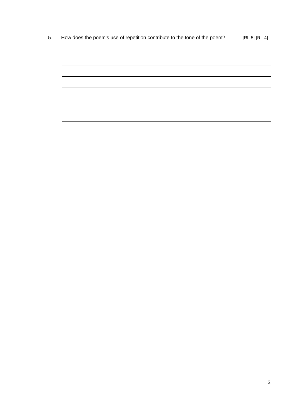| 5. | How does the poem's use of repetition contribute to the tone of the poem? | [RL.5] [RL.4] |
|----|---------------------------------------------------------------------------|---------------|
|    |                                                                           |               |
|    |                                                                           |               |
|    |                                                                           |               |
|    |                                                                           |               |
|    |                                                                           |               |
|    |                                                                           |               |
|    |                                                                           |               |
|    |                                                                           |               |
|    |                                                                           |               |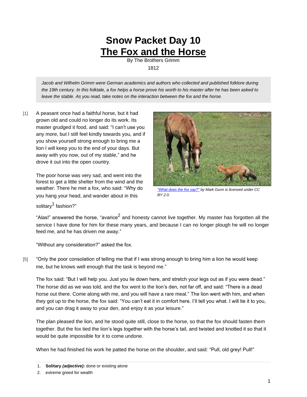## **Snow Packet Day 10 The Fox and the Horse**

By The Brothers Grimm 1812

Jacob and Wilhelm Grimm were German academics and authors who collected and published folklore during *the 19th century. In this folktale, a fox helps a horse prove his worth to his master after he has been asked to leave the stable. As you read, take notes on the interaction between the fox and the horse.*

[1] A peasant once had a faithful horse, but it had grown old and could no longer do its work. Its master grudged it food, and said: "I can't use you any more, but I still feel kindly towards you, and if you show yourself strong enough to bring me a lion I will keep you to the end of your days. But away with you now, out of my stable," and he drove it out into the open country.

> The poor horse was very sad, and went into the forest to get a little shelter from the wind and the weather. There he met a fox, who said: "Why do you hang your head, and wander about in this



*"What does the fox say?" by Mark Gunn is licensed under CC BY 2.0.*

solitary<sup>1</sup> fashion?"

"Alas!" answered the horse, "avarice<sup>2</sup> and honesty cannot live together. My master has forgotten all the service I have done for him for these many years, and because I can no longer plough he will no longer feed me, and he has driven me away."

"Without any consideration?" asked the fox.

[5] "Only the poor consolation of telling me that if I was strong enough to bring him a lion he would keep me, but he knows well enough that the task is beyond me."

The fox said: "But I will help you. Just you lie down here, and stretch your legs out as if you were dead." The horse did as we was told, and the fox went to the lion's den, not far off, and said: "There is a dead horse out there. Come along with me, and you will have a rare meal." The lion went with him, and when they got up to the horse, the fox said: "You can't eat it in comfort here. I'll tell you what. I will tie it to you, and you can drag it away to your den, and enjoy it as your leisure."

The plan pleased the lion, and he stood quite still, close to the horse, so that the fox should fasten them together. But the fox tied the lion's legs together with the horse's tail, and twisted and knotted it so that it would be quite impossible for it to come undone.

When he had finished his work he patted the horse on the shoulder, and said: "Pull, old grey! Pull!"

<sup>1.</sup> **Solitary** *(adjective):* done or existing alone

<sup>2.</sup> extreme greed for wealth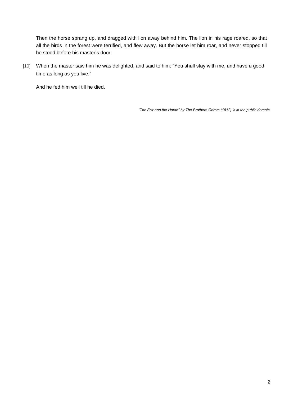Then the horse sprang up, and dragged with lion away behind him. The lion in his rage roared, so that all the birds in the forest were terrified, and flew away. But the horse let him roar, and never stopped till he stood before his master's door.

[10] When the master saw him he was delighted, and said to him: "You shall stay with me, and have a good time as long as you live."

And he fed him well till he died.

*"The Fox and the Horse" by The Brothers Grimm (1812) is in the public domain.*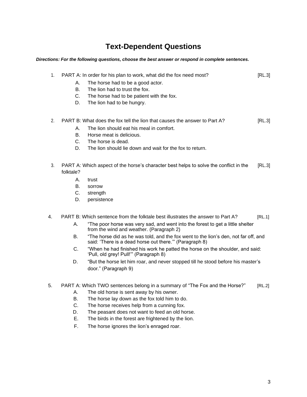#### *Directions: For the following questions, choose the best answer or respond in complete sentences.*

| PART A: In order for his plan to work, what did the fox need most? | [RL.3] |  |
|--------------------------------------------------------------------|--------|--|
|                                                                    |        |  |

- A. The horse had to be a good actor.
- B. The lion had to trust the fox.
- C. The horse had to be patient with the fox.
- D. The lion had to be hungry.

### 2. PART B: What does the fox tell the lion that causes the answer to Part A? [RL.3]

- A. The lion should eat his meal in comfort.
- B. Horse meat is delicious.
- C. The horse is dead.
- D. The lion should lie down and wait for the fox to return.
- 3. PART A: Which aspect of the horse's character best helps to solve the conflict in the [RL.3] folktale?
	- A. trust
	- B. sorrow
	- C. strength
	- D. persistence
- 4. PART B: Which sentence from the folktale best illustrates the answer to Part A? [RL.1]
	- A. "The poor horse was very sad, and went into the forest to get a little shelter from the wind and weather. (Paragraph 2)
	- B. "The horse did as he was told, and the fox went to the lion's den, not far off, and said: 'There is a dead horse out there.'" (Paragraph 8)
	- C. "When he had finished his work he patted the horse on the shoulder, and said: 'Pull, old grey! Pull!'" (Paragraph 8)
	- D. "But the horse let him roar, and never stopped till he stood before his master's door." (Paragraph 9)

### 5. PART A: Which TWO sentences belong in a summary of "The Fox and the Horse?" [RL.2]

- A. The old horse is sent away by his owner.
- B. The horse lay down as the fox told him to do.
- C. The horse receives help from a cunning fox.
- D. The peasant does not want to feed an old horse.
- E. The birds in the forest are frightened by the lion.
- F. The horse ignores the lion's enraged roar.